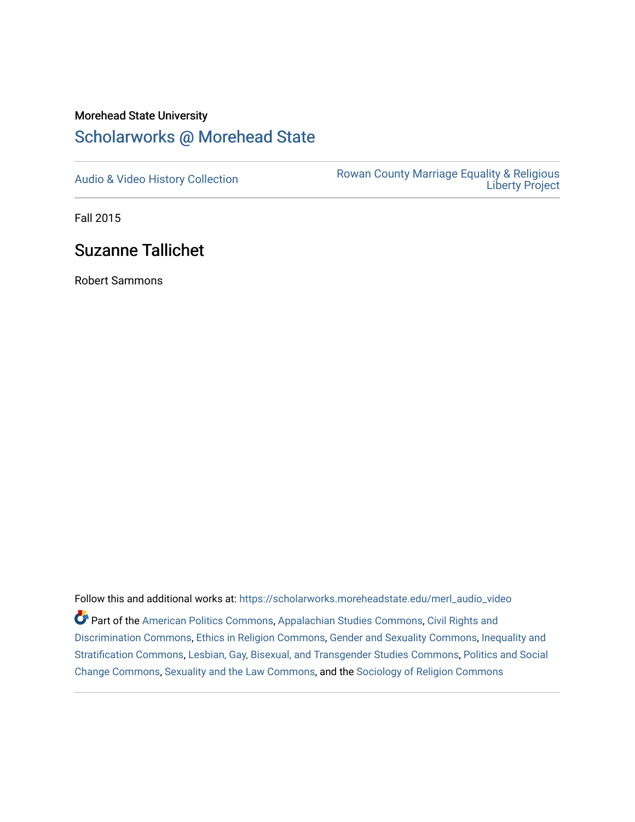### Morehead State University

# [Scholarworks @ Morehead State](https://scholarworks.moreheadstate.edu/)

[Audio & Video History Collection](https://scholarworks.moreheadstate.edu/merl_audio_video) **Rowan County Marriage Equality & Religious** [Liberty Project](https://scholarworks.moreheadstate.edu/merl) 

Fall 2015

# Suzanne Tallichet

Robert Sammons

Follow this and additional works at: [https://scholarworks.moreheadstate.edu/merl\\_audio\\_video](https://scholarworks.moreheadstate.edu/merl_audio_video?utm_source=scholarworks.moreheadstate.edu%2Fmerl_audio_video%2F83&utm_medium=PDF&utm_campaign=PDFCoverPages)  Part of the [American Politics Commons,](http://network.bepress.com/hgg/discipline/387?utm_source=scholarworks.moreheadstate.edu%2Fmerl_audio_video%2F83&utm_medium=PDF&utm_campaign=PDFCoverPages) [Appalachian Studies Commons,](http://network.bepress.com/hgg/discipline/1253?utm_source=scholarworks.moreheadstate.edu%2Fmerl_audio_video%2F83&utm_medium=PDF&utm_campaign=PDFCoverPages) [Civil Rights and](http://network.bepress.com/hgg/discipline/585?utm_source=scholarworks.moreheadstate.edu%2Fmerl_audio_video%2F83&utm_medium=PDF&utm_campaign=PDFCoverPages) [Discrimination Commons,](http://network.bepress.com/hgg/discipline/585?utm_source=scholarworks.moreheadstate.edu%2Fmerl_audio_video%2F83&utm_medium=PDF&utm_campaign=PDFCoverPages) [Ethics in Religion Commons,](http://network.bepress.com/hgg/discipline/541?utm_source=scholarworks.moreheadstate.edu%2Fmerl_audio_video%2F83&utm_medium=PDF&utm_campaign=PDFCoverPages) [Gender and Sexuality Commons](http://network.bepress.com/hgg/discipline/420?utm_source=scholarworks.moreheadstate.edu%2Fmerl_audio_video%2F83&utm_medium=PDF&utm_campaign=PDFCoverPages), [Inequality and](http://network.bepress.com/hgg/discipline/421?utm_source=scholarworks.moreheadstate.edu%2Fmerl_audio_video%2F83&utm_medium=PDF&utm_campaign=PDFCoverPages)  [Stratification Commons](http://network.bepress.com/hgg/discipline/421?utm_source=scholarworks.moreheadstate.edu%2Fmerl_audio_video%2F83&utm_medium=PDF&utm_campaign=PDFCoverPages), [Lesbian, Gay, Bisexual, and Transgender Studies Commons,](http://network.bepress.com/hgg/discipline/560?utm_source=scholarworks.moreheadstate.edu%2Fmerl_audio_video%2F83&utm_medium=PDF&utm_campaign=PDFCoverPages) [Politics and Social](http://network.bepress.com/hgg/discipline/425?utm_source=scholarworks.moreheadstate.edu%2Fmerl_audio_video%2F83&utm_medium=PDF&utm_campaign=PDFCoverPages)  [Change Commons](http://network.bepress.com/hgg/discipline/425?utm_source=scholarworks.moreheadstate.edu%2Fmerl_audio_video%2F83&utm_medium=PDF&utm_campaign=PDFCoverPages), [Sexuality and the Law Commons,](http://network.bepress.com/hgg/discipline/877?utm_source=scholarworks.moreheadstate.edu%2Fmerl_audio_video%2F83&utm_medium=PDF&utm_campaign=PDFCoverPages) and the [Sociology of Religion Commons](http://network.bepress.com/hgg/discipline/1365?utm_source=scholarworks.moreheadstate.edu%2Fmerl_audio_video%2F83&utm_medium=PDF&utm_campaign=PDFCoverPages)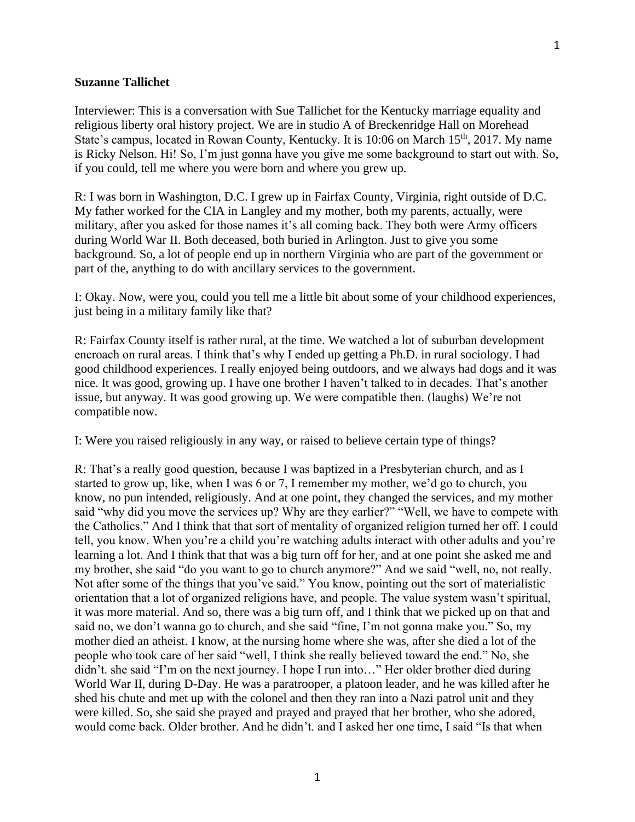#### **Suzanne Tallichet**

Interviewer: This is a conversation with Sue Tallichet for the Kentucky marriage equality and religious liberty oral history project. We are in studio A of Breckenridge Hall on Morehead State's campus, located in Rowan County, Kentucky. It is 10:06 on March 15<sup>th</sup>, 2017. My name is Ricky Nelson. Hi! So, I'm just gonna have you give me some background to start out with. So, if you could, tell me where you were born and where you grew up.

R: I was born in Washington, D.C. I grew up in Fairfax County, Virginia, right outside of D.C. My father worked for the CIA in Langley and my mother, both my parents, actually, were military, after you asked for those names it's all coming back. They both were Army officers during World War II. Both deceased, both buried in Arlington. Just to give you some background. So, a lot of people end up in northern Virginia who are part of the government or part of the, anything to do with ancillary services to the government.

I: Okay. Now, were you, could you tell me a little bit about some of your childhood experiences, just being in a military family like that?

R: Fairfax County itself is rather rural, at the time. We watched a lot of suburban development encroach on rural areas. I think that's why I ended up getting a Ph.D. in rural sociology. I had good childhood experiences. I really enjoyed being outdoors, and we always had dogs and it was nice. It was good, growing up. I have one brother I haven't talked to in decades. That's another issue, but anyway. It was good growing up. We were compatible then. (laughs) We're not compatible now.

I: Were you raised religiously in any way, or raised to believe certain type of things?

R: That's a really good question, because I was baptized in a Presbyterian church, and as I started to grow up, like, when I was 6 or 7, I remember my mother, we'd go to church, you know, no pun intended, religiously. And at one point, they changed the services, and my mother said "why did you move the services up? Why are they earlier?" "Well, we have to compete with the Catholics." And I think that that sort of mentality of organized religion turned her off. I could tell, you know. When you're a child you're watching adults interact with other adults and you're learning a lot. And I think that that was a big turn off for her, and at one point she asked me and my brother, she said "do you want to go to church anymore?" And we said "well, no, not really. Not after some of the things that you've said." You know, pointing out the sort of materialistic orientation that a lot of organized religions have, and people. The value system wasn't spiritual, it was more material. And so, there was a big turn off, and I think that we picked up on that and said no, we don't wanna go to church, and she said "fine, I'm not gonna make you." So, my mother died an atheist. I know, at the nursing home where she was, after she died a lot of the people who took care of her said "well, I think she really believed toward the end." No, she didn't. she said "I'm on the next journey. I hope I run into…" Her older brother died during World War II, during D-Day. He was a paratrooper, a platoon leader, and he was killed after he shed his chute and met up with the colonel and then they ran into a Nazi patrol unit and they were killed. So, she said she prayed and prayed and prayed that her brother, who she adored, would come back. Older brother. And he didn't. and I asked her one time, I said "Is that when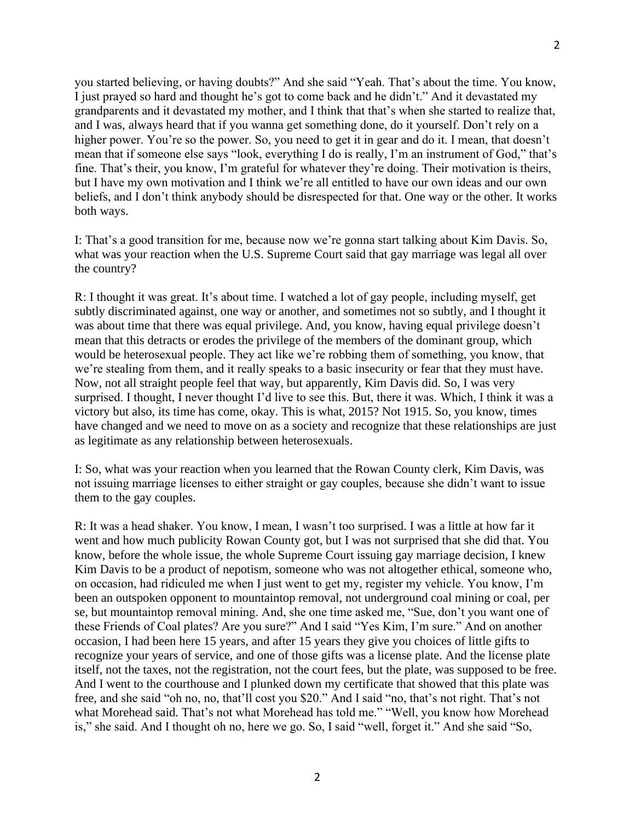you started believing, or having doubts?" And she said "Yeah. That's about the time. You know, I just prayed so hard and thought he's got to come back and he didn't." And it devastated my grandparents and it devastated my mother, and I think that that's when she started to realize that, and I was, always heard that if you wanna get something done, do it yourself. Don't rely on a higher power. You're so the power. So, you need to get it in gear and do it. I mean, that doesn't mean that if someone else says "look, everything I do is really, I'm an instrument of God," that's fine. That's their, you know, I'm grateful for whatever they're doing. Their motivation is theirs, but I have my own motivation and I think we're all entitled to have our own ideas and our own beliefs, and I don't think anybody should be disrespected for that. One way or the other. It works both ways.

I: That's a good transition for me, because now we're gonna start talking about Kim Davis. So, what was your reaction when the U.S. Supreme Court said that gay marriage was legal all over the country?

R: I thought it was great. It's about time. I watched a lot of gay people, including myself, get subtly discriminated against, one way or another, and sometimes not so subtly, and I thought it was about time that there was equal privilege. And, you know, having equal privilege doesn't mean that this detracts or erodes the privilege of the members of the dominant group, which would be heterosexual people. They act like we're robbing them of something, you know, that we're stealing from them, and it really speaks to a basic insecurity or fear that they must have. Now, not all straight people feel that way, but apparently, Kim Davis did. So, I was very surprised. I thought, I never thought I'd live to see this. But, there it was. Which, I think it was a victory but also, its time has come, okay. This is what, 2015? Not 1915. So, you know, times have changed and we need to move on as a society and recognize that these relationships are just as legitimate as any relationship between heterosexuals.

I: So, what was your reaction when you learned that the Rowan County clerk, Kim Davis, was not issuing marriage licenses to either straight or gay couples, because she didn't want to issue them to the gay couples.

R: It was a head shaker. You know, I mean, I wasn't too surprised. I was a little at how far it went and how much publicity Rowan County got, but I was not surprised that she did that. You know, before the whole issue, the whole Supreme Court issuing gay marriage decision, I knew Kim Davis to be a product of nepotism, someone who was not altogether ethical, someone who, on occasion, had ridiculed me when I just went to get my, register my vehicle. You know, I'm been an outspoken opponent to mountaintop removal, not underground coal mining or coal, per se, but mountaintop removal mining. And, she one time asked me, "Sue, don't you want one of these Friends of Coal plates? Are you sure?" And I said "Yes Kim, I'm sure." And on another occasion, I had been here 15 years, and after 15 years they give you choices of little gifts to recognize your years of service, and one of those gifts was a license plate. And the license plate itself, not the taxes, not the registration, not the court fees, but the plate, was supposed to be free. And I went to the courthouse and I plunked down my certificate that showed that this plate was free, and she said "oh no, no, that'll cost you \$20." And I said "no, that's not right. That's not what Morehead said. That's not what Morehead has told me." "Well, you know how Morehead is," she said. And I thought oh no, here we go. So, I said "well, forget it." And she said "So,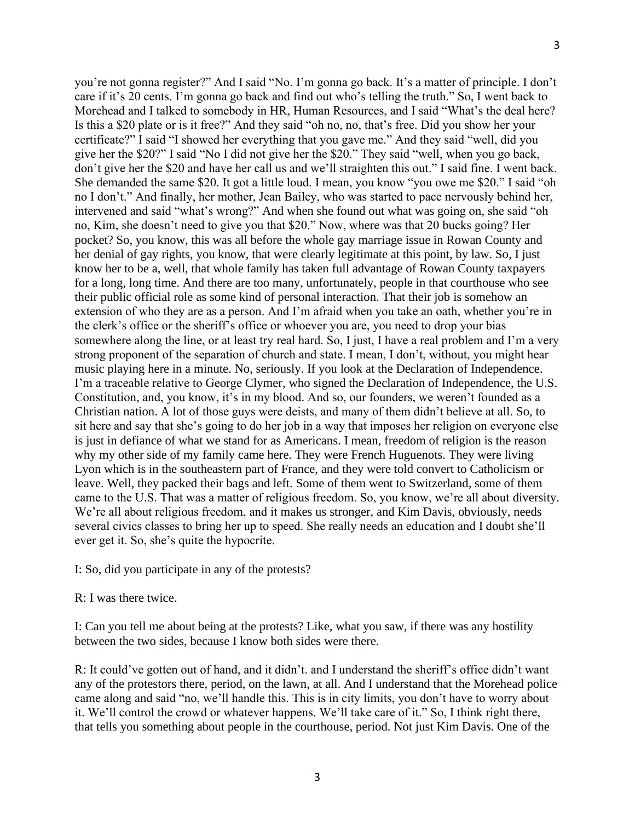you're not gonna register?" And I said "No. I'm gonna go back. It's a matter of principle. I don't care if it's 20 cents. I'm gonna go back and find out who's telling the truth." So, I went back to Morehead and I talked to somebody in HR, Human Resources, and I said "What's the deal here? Is this a \$20 plate or is it free?" And they said "oh no, no, that's free. Did you show her your certificate?" I said "I showed her everything that you gave me." And they said "well, did you give her the \$20?" I said "No I did not give her the \$20." They said "well, when you go back, don't give her the \$20 and have her call us and we'll straighten this out." I said fine. I went back. She demanded the same \$20. It got a little loud. I mean, you know "you owe me \$20." I said "oh no I don't." And finally, her mother, Jean Bailey, who was started to pace nervously behind her, intervened and said "what's wrong?" And when she found out what was going on, she said "oh no, Kim, she doesn't need to give you that \$20." Now, where was that 20 bucks going? Her pocket? So, you know, this was all before the whole gay marriage issue in Rowan County and her denial of gay rights, you know, that were clearly legitimate at this point, by law. So, I just know her to be a, well, that whole family has taken full advantage of Rowan County taxpayers for a long, long time. And there are too many, unfortunately, people in that courthouse who see their public official role as some kind of personal interaction. That their job is somehow an extension of who they are as a person. And I'm afraid when you take an oath, whether you're in the clerk's office or the sheriff's office or whoever you are, you need to drop your bias somewhere along the line, or at least try real hard. So, I just, I have a real problem and I'm a very strong proponent of the separation of church and state. I mean, I don't, without, you might hear music playing here in a minute. No, seriously. If you look at the Declaration of Independence. I'm a traceable relative to George Clymer, who signed the Declaration of Independence, the U.S. Constitution, and, you know, it's in my blood. And so, our founders, we weren't founded as a Christian nation. A lot of those guys were deists, and many of them didn't believe at all. So, to sit here and say that she's going to do her job in a way that imposes her religion on everyone else is just in defiance of what we stand for as Americans. I mean, freedom of religion is the reason why my other side of my family came here. They were French Huguenots. They were living Lyon which is in the southeastern part of France, and they were told convert to Catholicism or leave. Well, they packed their bags and left. Some of them went to Switzerland, some of them came to the U.S. That was a matter of religious freedom. So, you know, we're all about diversity. We're all about religious freedom, and it makes us stronger, and Kim Davis, obviously, needs several civics classes to bring her up to speed. She really needs an education and I doubt she'll ever get it. So, she's quite the hypocrite.

I: So, did you participate in any of the protests?

#### R: I was there twice.

I: Can you tell me about being at the protests? Like, what you saw, if there was any hostility between the two sides, because I know both sides were there.

R: It could've gotten out of hand, and it didn't. and I understand the sheriff's office didn't want any of the protestors there, period, on the lawn, at all. And I understand that the Morehead police came along and said "no, we'll handle this. This is in city limits, you don't have to worry about it. We'll control the crowd or whatever happens. We'll take care of it." So, I think right there, that tells you something about people in the courthouse, period. Not just Kim Davis. One of the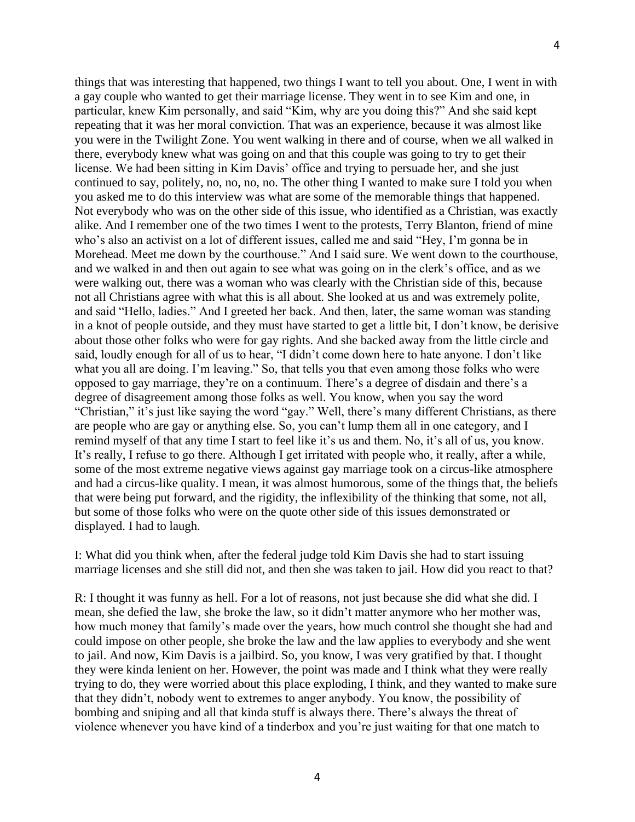things that was interesting that happened, two things I want to tell you about. One, I went in with a gay couple who wanted to get their marriage license. They went in to see Kim and one, in particular, knew Kim personally, and said "Kim, why are you doing this?" And she said kept repeating that it was her moral conviction. That was an experience, because it was almost like you were in the Twilight Zone. You went walking in there and of course, when we all walked in there, everybody knew what was going on and that this couple was going to try to get their license. We had been sitting in Kim Davis' office and trying to persuade her, and she just continued to say, politely, no, no, no, no. The other thing I wanted to make sure I told you when you asked me to do this interview was what are some of the memorable things that happened. Not everybody who was on the other side of this issue, who identified as a Christian, was exactly alike. And I remember one of the two times I went to the protests, Terry Blanton, friend of mine who's also an activist on a lot of different issues, called me and said "Hey, I'm gonna be in Morehead. Meet me down by the courthouse." And I said sure. We went down to the courthouse, and we walked in and then out again to see what was going on in the clerk's office, and as we were walking out, there was a woman who was clearly with the Christian side of this, because not all Christians agree with what this is all about. She looked at us and was extremely polite, and said "Hello, ladies." And I greeted her back. And then, later, the same woman was standing in a knot of people outside, and they must have started to get a little bit, I don't know, be derisive about those other folks who were for gay rights. And she backed away from the little circle and said, loudly enough for all of us to hear, "I didn't come down here to hate anyone. I don't like what you all are doing. I'm leaving." So, that tells you that even among those folks who were opposed to gay marriage, they're on a continuum. There's a degree of disdain and there's a degree of disagreement among those folks as well. You know, when you say the word "Christian," it's just like saying the word "gay." Well, there's many different Christians, as there are people who are gay or anything else. So, you can't lump them all in one category, and I remind myself of that any time I start to feel like it's us and them. No, it's all of us, you know. It's really, I refuse to go there. Although I get irritated with people who, it really, after a while, some of the most extreme negative views against gay marriage took on a circus-like atmosphere and had a circus-like quality. I mean, it was almost humorous, some of the things that, the beliefs that were being put forward, and the rigidity, the inflexibility of the thinking that some, not all, but some of those folks who were on the quote other side of this issues demonstrated or displayed. I had to laugh.

I: What did you think when, after the federal judge told Kim Davis she had to start issuing marriage licenses and she still did not, and then she was taken to jail. How did you react to that?

R: I thought it was funny as hell. For a lot of reasons, not just because she did what she did. I mean, she defied the law, she broke the law, so it didn't matter anymore who her mother was, how much money that family's made over the years, how much control she thought she had and could impose on other people, she broke the law and the law applies to everybody and she went to jail. And now, Kim Davis is a jailbird. So, you know, I was very gratified by that. I thought they were kinda lenient on her. However, the point was made and I think what they were really trying to do, they were worried about this place exploding, I think, and they wanted to make sure that they didn't, nobody went to extremes to anger anybody. You know, the possibility of bombing and sniping and all that kinda stuff is always there. There's always the threat of violence whenever you have kind of a tinderbox and you're just waiting for that one match to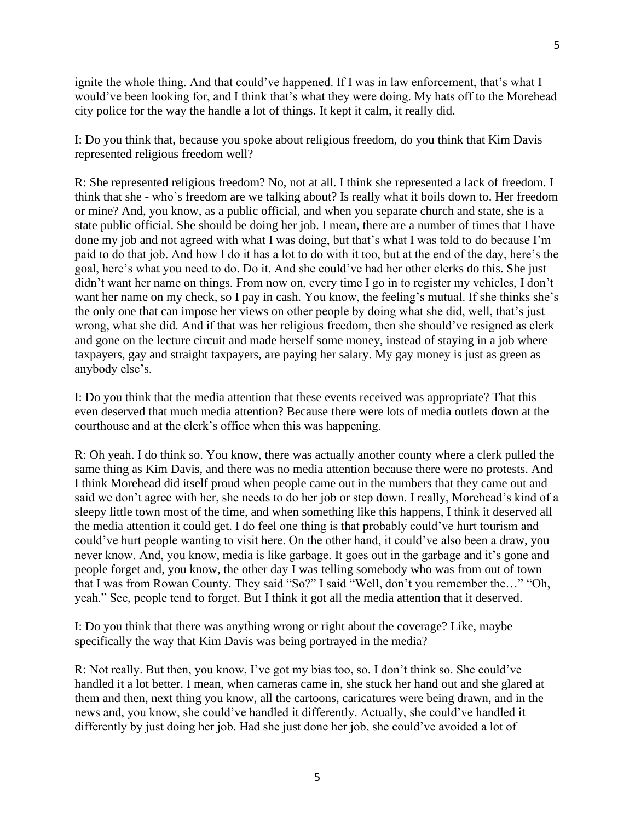ignite the whole thing. And that could've happened. If I was in law enforcement, that's what I would've been looking for, and I think that's what they were doing. My hats off to the Morehead city police for the way the handle a lot of things. It kept it calm, it really did.

I: Do you think that, because you spoke about religious freedom, do you think that Kim Davis represented religious freedom well?

R: She represented religious freedom? No, not at all. I think she represented a lack of freedom. I think that she - who's freedom are we talking about? Is really what it boils down to. Her freedom or mine? And, you know, as a public official, and when you separate church and state, she is a state public official. She should be doing her job. I mean, there are a number of times that I have done my job and not agreed with what I was doing, but that's what I was told to do because I'm paid to do that job. And how I do it has a lot to do with it too, but at the end of the day, here's the goal, here's what you need to do. Do it. And she could've had her other clerks do this. She just didn't want her name on things. From now on, every time I go in to register my vehicles, I don't want her name on my check, so I pay in cash. You know, the feeling's mutual. If she thinks she's the only one that can impose her views on other people by doing what she did, well, that's just wrong, what she did. And if that was her religious freedom, then she should've resigned as clerk and gone on the lecture circuit and made herself some money, instead of staying in a job where taxpayers, gay and straight taxpayers, are paying her salary. My gay money is just as green as anybody else's.

I: Do you think that the media attention that these events received was appropriate? That this even deserved that much media attention? Because there were lots of media outlets down at the courthouse and at the clerk's office when this was happening.

R: Oh yeah. I do think so. You know, there was actually another county where a clerk pulled the same thing as Kim Davis, and there was no media attention because there were no protests. And I think Morehead did itself proud when people came out in the numbers that they came out and said we don't agree with her, she needs to do her job or step down. I really, Morehead's kind of a sleepy little town most of the time, and when something like this happens, I think it deserved all the media attention it could get. I do feel one thing is that probably could've hurt tourism and could've hurt people wanting to visit here. On the other hand, it could've also been a draw, you never know. And, you know, media is like garbage. It goes out in the garbage and it's gone and people forget and, you know, the other day I was telling somebody who was from out of town that I was from Rowan County. They said "So?" I said "Well, don't you remember the…" "Oh, yeah." See, people tend to forget. But I think it got all the media attention that it deserved.

I: Do you think that there was anything wrong or right about the coverage? Like, maybe specifically the way that Kim Davis was being portrayed in the media?

R: Not really. But then, you know, I've got my bias too, so. I don't think so. She could've handled it a lot better. I mean, when cameras came in, she stuck her hand out and she glared at them and then, next thing you know, all the cartoons, caricatures were being drawn, and in the news and, you know, she could've handled it differently. Actually, she could've handled it differently by just doing her job. Had she just done her job, she could've avoided a lot of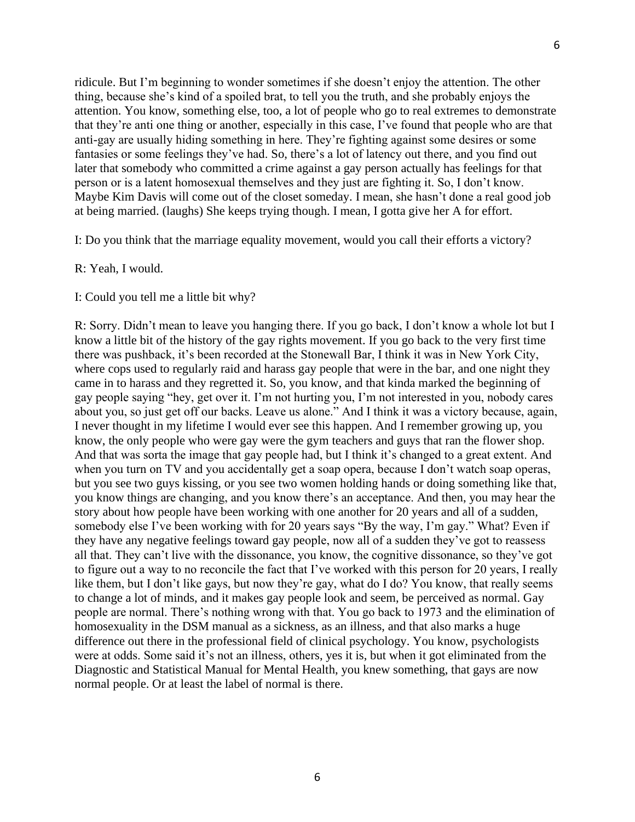ridicule. But I'm beginning to wonder sometimes if she doesn't enjoy the attention. The other thing, because she's kind of a spoiled brat, to tell you the truth, and she probably enjoys the attention. You know, something else, too, a lot of people who go to real extremes to demonstrate that they're anti one thing or another, especially in this case, I've found that people who are that anti-gay are usually hiding something in here. They're fighting against some desires or some fantasies or some feelings they've had. So, there's a lot of latency out there, and you find out later that somebody who committed a crime against a gay person actually has feelings for that person or is a latent homosexual themselves and they just are fighting it. So, I don't know. Maybe Kim Davis will come out of the closet someday. I mean, she hasn't done a real good job at being married. (laughs) She keeps trying though. I mean, I gotta give her A for effort.

I: Do you think that the marriage equality movement, would you call their efforts a victory?

R: Yeah, I would.

I: Could you tell me a little bit why?

R: Sorry. Didn't mean to leave you hanging there. If you go back, I don't know a whole lot but I know a little bit of the history of the gay rights movement. If you go back to the very first time there was pushback, it's been recorded at the Stonewall Bar, I think it was in New York City, where cops used to regularly raid and harass gay people that were in the bar, and one night they came in to harass and they regretted it. So, you know, and that kinda marked the beginning of gay people saying "hey, get over it. I'm not hurting you, I'm not interested in you, nobody cares about you, so just get off our backs. Leave us alone." And I think it was a victory because, again, I never thought in my lifetime I would ever see this happen. And I remember growing up, you know, the only people who were gay were the gym teachers and guys that ran the flower shop. And that was sorta the image that gay people had, but I think it's changed to a great extent. And when you turn on TV and you accidentally get a soap opera, because I don't watch soap operas, but you see two guys kissing, or you see two women holding hands or doing something like that, you know things are changing, and you know there's an acceptance. And then, you may hear the story about how people have been working with one another for 20 years and all of a sudden, somebody else I've been working with for 20 years says "By the way, I'm gay." What? Even if they have any negative feelings toward gay people, now all of a sudden they've got to reassess all that. They can't live with the dissonance, you know, the cognitive dissonance, so they've got to figure out a way to no reconcile the fact that I've worked with this person for 20 years, I really like them, but I don't like gays, but now they're gay, what do I do? You know, that really seems to change a lot of minds, and it makes gay people look and seem, be perceived as normal. Gay people are normal. There's nothing wrong with that. You go back to 1973 and the elimination of homosexuality in the DSM manual as a sickness, as an illness, and that also marks a huge difference out there in the professional field of clinical psychology. You know, psychologists were at odds. Some said it's not an illness, others, yes it is, but when it got eliminated from the Diagnostic and Statistical Manual for Mental Health, you knew something, that gays are now normal people. Or at least the label of normal is there.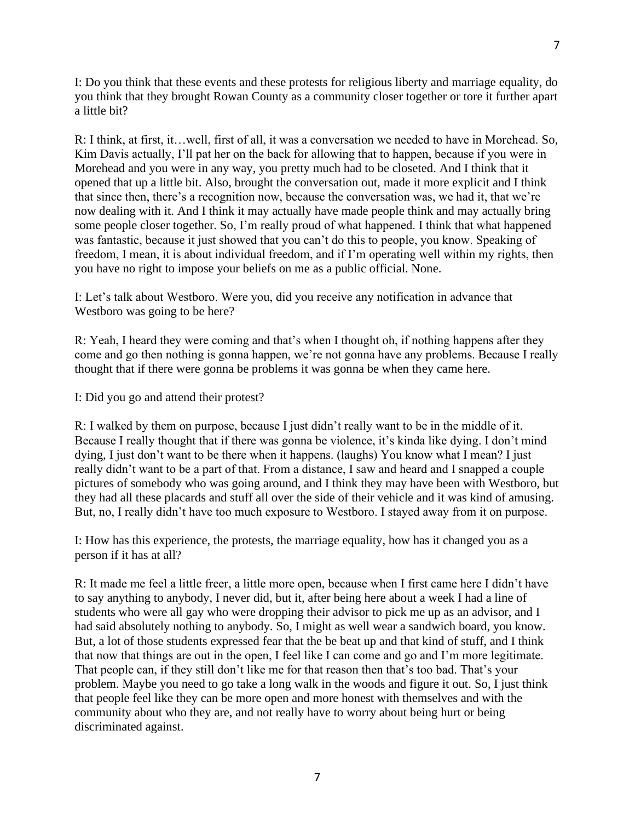I: Do you think that these events and these protests for religious liberty and marriage equality, do you think that they brought Rowan County as a community closer together or tore it further apart a little bit?

R: I think, at first, it…well, first of all, it was a conversation we needed to have in Morehead. So, Kim Davis actually, I'll pat her on the back for allowing that to happen, because if you were in Morehead and you were in any way, you pretty much had to be closeted. And I think that it opened that up a little bit. Also, brought the conversation out, made it more explicit and I think that since then, there's a recognition now, because the conversation was, we had it, that we're now dealing with it. And I think it may actually have made people think and may actually bring some people closer together. So, I'm really proud of what happened. I think that what happened was fantastic, because it just showed that you can't do this to people, you know. Speaking of freedom, I mean, it is about individual freedom, and if I'm operating well within my rights, then you have no right to impose your beliefs on me as a public official. None.

I: Let's talk about Westboro. Were you, did you receive any notification in advance that Westboro was going to be here?

R: Yeah, I heard they were coming and that's when I thought oh, if nothing happens after they come and go then nothing is gonna happen, we're not gonna have any problems. Because I really thought that if there were gonna be problems it was gonna be when they came here.

I: Did you go and attend their protest?

R: I walked by them on purpose, because I just didn't really want to be in the middle of it. Because I really thought that if there was gonna be violence, it's kinda like dying. I don't mind dying, I just don't want to be there when it happens. (laughs) You know what I mean? I just really didn't want to be a part of that. From a distance, I saw and heard and I snapped a couple pictures of somebody who was going around, and I think they may have been with Westboro, but they had all these placards and stuff all over the side of their vehicle and it was kind of amusing. But, no, I really didn't have too much exposure to Westboro. I stayed away from it on purpose.

I: How has this experience, the protests, the marriage equality, how has it changed you as a person if it has at all?

R: It made me feel a little freer, a little more open, because when I first came here I didn't have to say anything to anybody, I never did, but it, after being here about a week I had a line of students who were all gay who were dropping their advisor to pick me up as an advisor, and I had said absolutely nothing to anybody. So, I might as well wear a sandwich board, you know. But, a lot of those students expressed fear that the be beat up and that kind of stuff, and I think that now that things are out in the open, I feel like I can come and go and I'm more legitimate. That people can, if they still don't like me for that reason then that's too bad. That's your problem. Maybe you need to go take a long walk in the woods and figure it out. So, I just think that people feel like they can be more open and more honest with themselves and with the community about who they are, and not really have to worry about being hurt or being discriminated against.